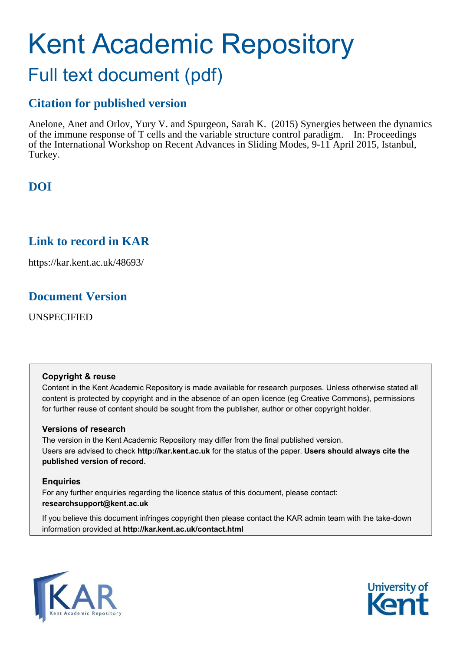# Kent Academic Repository Full text document (pdf)

# **Citation for published version**

Anelone, Anet and Orlov, Yury V. and Spurgeon, Sarah K. (2015) Synergies between the dynamics of the immune response of T cells and the variable structure control paradigm. In: Proceedings of the International Workshop on Recent Advances in Sliding Modes, 9-11 April 2015, Istanbul, Turkey.

# **DOI**

## **Link to record in KAR**

https://kar.kent.ac.uk/48693/

## **Document Version**

UNSPECIFIED

## **Copyright & reuse**

Content in the Kent Academic Repository is made available for research purposes. Unless otherwise stated all content is protected by copyright and in the absence of an open licence (eg Creative Commons), permissions for further reuse of content should be sought from the publisher, author or other copyright holder.

## **Versions of research**

The version in the Kent Academic Repository may differ from the final published version. Users are advised to check **http://kar.kent.ac.uk** for the status of the paper. **Users should always cite the published version of record.**

## **Enquiries**

For any further enquiries regarding the licence status of this document, please contact: **researchsupport@kent.ac.uk**

If you believe this document infringes copyright then please contact the KAR admin team with the take-down information provided at **http://kar.kent.ac.uk/contact.html**



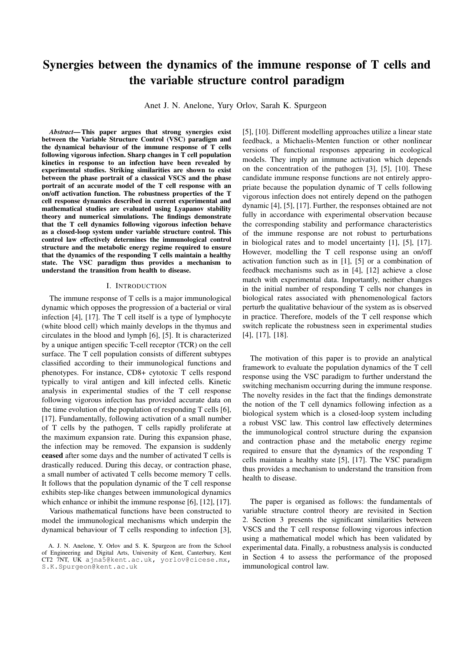## Synergies between the dynamics of the immune response of T cells and the variable structure control paradigm

Anet J. N. Anelone, Yury Orlov, Sarah K. Spurgeon

*Abstract*— This paper argues that strong synergies exist between the Variable Structure Control (VSC) paradigm and the dynamical behaviour of the immune response of T cells following vigorous infection. Sharp changes in T cell population kinetics in response to an infection have been revealed by experimental studies. Striking similarities are shown to exist between the phase portrait of a classical VSCS and the phase portrait of an accurate model of the T cell response with an on/off activation function. The robustness properties of the T cell response dynamics described in current experimental and mathematical studies are evaluated using Lyapanov stability theory and numerical simulations. The findings demonstrate that the T cell dynamics following vigorous infection behave as a closed-loop system under variable structure control. This control law effectively determines the immunological control structure and the metabolic energy regime required to ensure that the dynamics of the responding T cells maintain a healthy state. The VSC paradigm thus provides a mechanism to understand the transition from health to disease.

#### I. INTRODUCTION

The immune response of T cells is a major immunological dynamic which opposes the progression of a bacterial or viral infection [4], [17]. The T cell itself is a type of lymphocyte (white blood cell) which mainly develops in the thymus and circulates in the blood and lymph [6], [5]. It is characterized by a unique antigen specific T-cell receptor (TCR) on the cell surface. The T cell population consists of different subtypes classified according to their immunological functions and phenotypes. For instance, CD8+ cytotoxic T cells respond typically to viral antigen and kill infected cells. Kinetic analysis in experimental studies of the T cell response following vigorous infection has provided accurate data on the time evolution of the population of responding T cells [6], [17]. Fundamentally, following activation of a small number of T cells by the pathogen, T cells rapidly proliferate at the maximum expansion rate. During this expansion phase, the infection may be removed. The expansion is suddenly ceased after some days and the number of activated T cells is drastically reduced. During this decay, or contraction phase, a small number of activated T cells become memory T cells. It follows that the population dynamic of the T cell response exhibits step-like changes between immunological dynamics which enhance or inhibit the immune response [6], [12], [17].

Various mathematical functions have been constructed to model the immunological mechanisms which underpin the dynamical behaviour of T cells responding to infection [3], [5], [10]. Different modelling approaches utilize a linear state feedback, a Michaelis-Menten function or other nonlinear versions of functional responses appearing in ecological models. They imply an immune activation which depends on the concentration of the pathogen [3], [5], [10]. These candidate immune response functions are not entirely appropriate because the population dynamic of T cells following vigorous infection does not entirely depend on the pathogen dynamic [4], [5], [17]. Further, the responses obtained are not fully in accordance with experimental observation because the corresponding stability and performance characteristics of the immune response are not robust to perturbations in biological rates and to model uncertainty [1], [5], [17]. However, modelling the T cell response using an on/off activation function such as in [1], [5] or a combination of feedback mechanisms such as in [4], [12] achieve a close match with experimental data. Importantly, neither changes in the initial number of responding T cells nor changes in biological rates associated with phenomenological factors perturb the qualitative behaviour of the system as is observed in practice. Therefore, models of the T cell response which switch replicate the robustness seen in experimental studies [4], [17], [18].

The motivation of this paper is to provide an analytical framework to evaluate the population dynamics of the T cell response using the VSC paradigm to further understand the switching mechanism occurring during the immune response. The novelty resides in the fact that the findings demonstrate the notion of the T cell dynamics following infection as a biological system which is a closed-loop system including a robust VSC law. This control law effectively determines the immunological control structure during the expansion and contraction phase and the metabolic energy regime required to ensure that the dynamics of the responding T cells maintain a healthy state [5], [17]. The VSC paradigm thus provides a mechanism to understand the transition from health to disease.

The paper is organised as follows: the fundamentals of variable structure control theory are revisited in Section 2. Section 3 presents the significant similarities between VSCS and the T cell response following vigorous infection using a mathematical model which has been validated by experimental data. Finally, a robustness analysis is conducted in Section 4 to assess the performance of the proposed immunological control law.

A. J. N. Anelone, Y. Orlov and S. K. Spurgeon are from the School of Engineering and Digital Arts, University of Kent, Canterbury, Kent CT2 7NT, UK ajna5@kent.ac.uk, yorlov@cicese.mx, S.K.Spurgeon@kent.ac.uk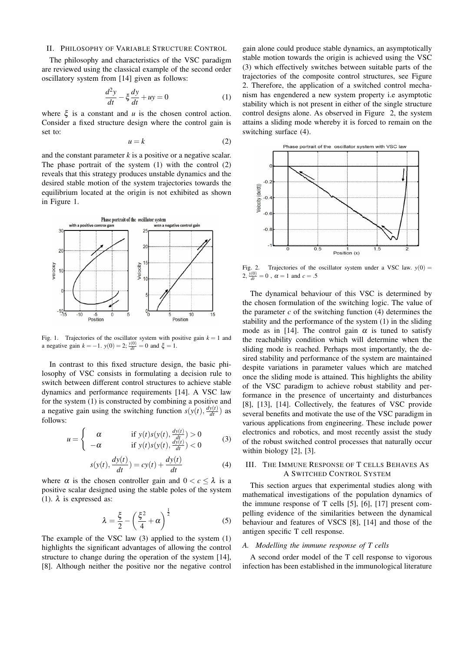#### II. PHILOSOPHY OF VARIABLE STRUCTURE CONTROL

The philosophy and characteristics of the VSC paradigm are reviewed using the classical example of the second order oscillatory system from [14] given as follows:

$$
\frac{d^2y}{dt} - \xi \frac{dy}{dt} + uy = 0\tag{1}
$$

where  $\xi$  is a constant and  $u$  is the chosen control action. Consider a fixed structure design where the control gain is set to:

$$
u = k \tag{2}
$$

and the constant parameter *k* is a positive or a negative scalar. The phase portrait of the system (1) with the control (2) reveals that this strategy produces unstable dynamics and the desired stable motion of the system trajectories towards the equilibrium located at the origin is not exhibited as shown in Figure 1.



Fig. 1. Trajectories of the oscillator system with positive gain  $k = 1$  and a negative gain  $k = -1$ .  $y(0) = 2$ ;  $\frac{y(0)}{dt} = 0$  and  $\xi = 1$ .

In contrast to this fixed structure design, the basic philosophy of VSC consists in formulating a decision rule to switch between different control structures to achieve stable dynamics and performance requirements [14]. A VSC law for the system (1) is constructed by combining a positive and a negative gain using the switching function  $s(y(t), \frac{dy(t)}{dt})$  as follows:

$$
u = \begin{cases} \alpha & \text{if } y(t)s(y(t), \frac{dy(t)}{dt}) > 0\\ -\alpha & \text{if } y(t)s(y(t), \frac{dy(t)}{dt}) < 0 \end{cases} \tag{3}
$$

$$
s(y(t), \frac{dy(t)}{dt}) = cy(t) + \frac{dy(t)}{dt}
$$
 (4)

where  $\alpha$  is the chosen controller gain and  $0 < c < \lambda$  is a positive scalar designed using the stable poles of the system (1).  $\lambda$  is expressed as:

$$
\lambda = \frac{\xi}{2} - \left(\frac{\xi^2}{4} + \alpha\right)^{\frac{1}{2}}\tag{5}
$$

The example of the VSC law (3) applied to the system (1) highlights the significant advantages of allowing the control structure to change during the operation of the system [14], [8]. Although neither the positive nor the negative control

gain alone could produce stable dynamics, an asymptotically stable motion towards the origin is achieved using the VSC (3) which effectively switches between suitable parts of the trajectories of the composite control structures, see Figure 2. Therefore, the application of a switched control mechanism has engendered a new system property i.e asymptotic stability which is not present in either of the single structure control designs alone. As observed in Figure 2, the system attains a sliding mode whereby it is forced to remain on the switching surface (4).



Fig. 2. Trajectories of the oscillator system under a VSC law.  $y(0) =$  $2, \frac{y(0)}{dt} = 0$ ,  $\alpha = 1$  and  $c = .5$ 

The dynamical behaviour of this VSC is determined by the chosen formulation of the switching logic. The value of the parameter  $c$  of the switching function  $(4)$  determines the stability and the performance of the system (1) in the sliding mode as in [14]. The control gain  $\alpha$  is tuned to satisfy the reachability condition which will determine when the sliding mode is reached. Perhaps most importantly, the desired stability and performance of the system are maintained despite variations in parameter values which are matched once the sliding mode is attained. This highlights the ability of the VSC paradigm to achieve robust stability and performance in the presence of uncertainty and disturbances [8], [13], [14]. Collectively, the features of VSC provide several benefits and motivate the use of the VSC paradigm in various applications from engineering. These include power electronics and robotics, and most recently assist the study of the robust switched control processes that naturally occur within biology [2], [3].

#### III. THE IMMUNE RESPONSE OF T CELLS BEHAVES AS A SWITCHED CONTROL SYSTEM

This section argues that experimental studies along with mathematical investigations of the population dynamics of the immune response of T cells [5], [6], [17] present compelling evidence of the similarities between the dynamical behaviour and features of VSCS [8], [14] and those of the antigen specific T cell response.

#### *A. Modelling the immune response of T cells*

A second order model of the T cell response to vigorous infection has been established in the immunological literature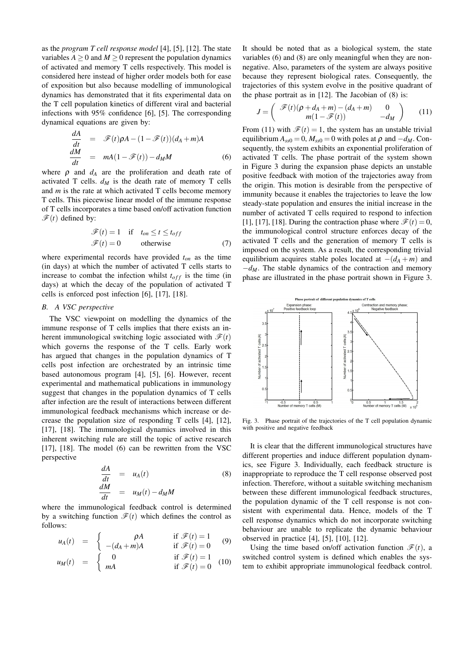as the *program T cell response model* [4], [5], [12]. The state variables  $A \ge 0$  and  $M \ge 0$  represent the population dynamics of activated and memory T cells respectively. This model is considered here instead of higher order models both for ease of exposition but also because modelling of immunological dynamics has demonstrated that it fits experimental data on the T cell population kinetics of different viral and bacterial infections with 95% confidence [6], [5]. The corresponding dynamical equations are given by:

$$
\frac{dA}{dt} = \mathcal{F}(t)\rho A - (1 - \mathcal{F}(t))(d_A + m)A
$$
\n
$$
\frac{dM}{dt} = mA(1 - \mathcal{F}(t)) - d_M M
$$
\n(6)

where  $\rho$  and  $d_A$  are the proliferation and death rate of activated T cells.  $d_M$  is the death rate of memory T cells and *m* is the rate at which activated T cells become memory T cells. This piecewise linear model of the immune response of T cells incorporates a time based on/off activation function  $\mathscr{F}(t)$  defined by:

$$
\mathcal{F}(t) = 1 \quad \text{if} \quad t_{on} \le t \le t_{off}
$$

$$
\mathcal{F}(t) = 0 \qquad \text{otherwise} \tag{7}
$$

where experimental records have provided *ton* as the time (in days) at which the number of activated T cells starts to increase to combat the infection whilst  $t_{off}$  is the time (in days) at which the decay of the population of activated T cells is enforced post infection [6], [17], [18].

#### *B. A VSC perspective*

The VSC viewpoint on modelling the dynamics of the immune response of T cells implies that there exists an inherent immunological switching logic associated with  $\mathcal{F}(t)$ which governs the response of the T cells. Early work has argued that changes in the population dynamics of T cells post infection are orchestrated by an intrinsic time based autonomous program [4], [5], [6]. However, recent experimental and mathematical publications in immunology suggest that changes in the population dynamics of T cells after infection are the result of interactions between different immunological feedback mechanisms which increase or decrease the population size of responding T cells [4], [12], [17], [18]. The immunological dynamics involved in this inherent switching rule are still the topic of active research [17], [18]. The model (6) can be rewritten from the VSC perspective

$$
\begin{array}{rcl}\n\frac{dA}{dt} & = & u_A(t) & (8) \\
\frac{dM}{dt} & = & u_M(t) - d_M M\n\end{array}
$$

where the immunological feedback control is determined by a switching function  $\mathcal{F}(t)$  which defines the control as follows:

$$
u_A(t) = \begin{cases} \rho A & \text{if } \mathscr{F}(t) = 1 \\ -(d_A + m)A & \text{if } \mathscr{F}(t) = 0 \end{cases}
$$
(9)

$$
u_M(t) = \begin{cases} 0 & \text{if } \mathcal{F}(t) = 1 \\ mA & \text{if } \mathcal{F}(t) = 0 \end{cases}
$$
 (10)

It should be noted that as a biological system, the state variables (6) and (8) are only meaningful when they are nonnegative. Also, parameters of the system are always positive because they represent biological rates. Consequently, the trajectories of this system evolve in the positive quadrant of the phase portrait as in [12]. The Jacobian of (8) is:

$$
J = \begin{pmatrix} \mathcal{F}(t)(\rho + d_A + m) - (d_A + m) & 0 \\ m(1 - \mathcal{F}(t)) & -d_M \end{pmatrix}
$$
 (11)

From (11) with  $\mathcal{F}(t) = 1$ , the system has an unstable trivial equilibrium  $A_{ss0} = 0$ ,  $M_{ss0} = 0$  with poles at  $\rho$  and  $-d_M$ . Consequently, the system exhibits an exponential proliferation of activated T cells. The phase portrait of the system shown in Figure 3 during the expansion phase depicts an unstable positive feedback with motion of the trajectories away from the origin. This motion is desirable from the perspective of immunity because it enables the trajectories to leave the low steady-state population and ensures the initial increase in the number of activated T cells required to respond to infection [1], [17], [18]. During the contraction phase where  $\mathcal{F}(t) = 0$ , the immunological control structure enforces decay of the activated T cells and the generation of memory T cells is imposed on the system. As a result, the corresponding trivial equilibrium acquires stable poles located at  $-(d_A + m)$  and  $-d_M$ . The stable dynamics of the contraction and memory phase are illustrated in the phase portrait shown in Figure 3.



Fig. 3. Phase portrait of the trajectories of the T cell population dynamic with positive and negative feedback

It is clear that the different immunological structures have different properties and induce different population dynamics, see Figure 3. Individually, each feedback structure is inappropriate to reproduce the T cell response observed post infection. Therefore, without a suitable switching mechanism between these different immunological feedback structures, the population dynamic of the T cell response is not consistent with experimental data. Hence, models of the T cell response dynamics which do not incorporate switching behaviour are unable to replicate the dynamic behaviour observed in practice [4], [5], [10], [12].

Using the time based on/off activation function  $\mathcal{F}(t)$ , a switched control system is defined which enables the system to exhibit appropriate immunological feedback control.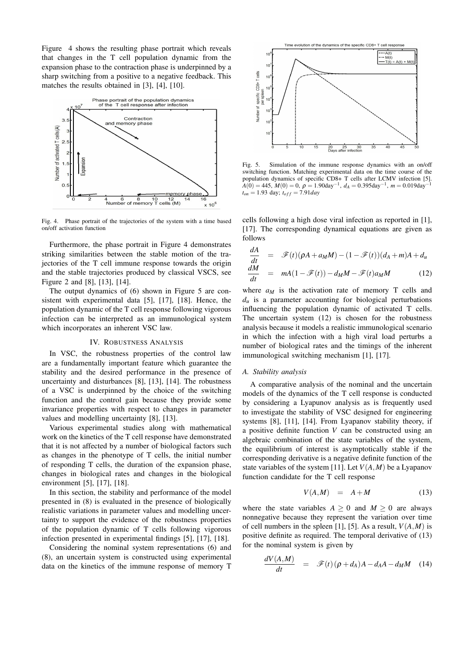Figure 4 shows the resulting phase portrait which reveals that changes in the T cell population dynamic from the expansion phase to the contraction phase is underpinned by a sharp switching from a positive to a negative feedback. This matches the results obtained in [3], [4], [10].



Fig. 4. Phase portrait of the trajectories of the system with a time based on/off activation function

Furthermore, the phase portrait in Figure 4 demonstrates striking similarities between the stable motion of the trajectories of the T cell immune response towards the origin and the stable trajectories produced by classical VSCS, see Figure 2 and [8], [13], [14].

The output dynamics of (6) shown in Figure 5 are consistent with experimental data [5], [17], [18]. Hence, the population dynamic of the T cell response following vigorous infection can be interpreted as an immunological system which incorporates an inherent VSC law.

#### IV. ROBUSTNESS ANALYSIS

In VSC, the robustness properties of the control law are a fundamentally important feature which guarantee the stability and the desired performance in the presence of uncertainty and disturbances [8], [13], [14]. The robustness of a VSC is underpinned by the choice of the switching function and the control gain because they provide some invariance properties with respect to changes in parameter values and modelling uncertainty [8], [13].

Various experimental studies along with mathematical work on the kinetics of the T cell response have demonstrated that it is not affected by a number of biological factors such as changes in the phenotype of T cells, the initial number of responding T cells, the duration of the expansion phase, changes in biological rates and changes in the biological environment [5], [17], [18].

In this section, the stability and performance of the model presented in (8) is evaluated in the presence of biologically realistic variations in parameter values and modelling uncertainty to support the evidence of the robustness properties of the population dynamic of T cells following vigorous infection presented in experimental findings [5], [17], [18].

Considering the nominal system representations (6) and (8), an uncertain system is constructed using experimental data on the kinetics of the immune response of memory T



Fig. 5. Simulation of the immune response dynamics with an on/off switching function. Matching experimental data on the time course of the population dynamics of specific CD8+ T cells after LCMV infection [5]. *A*(0) = 445, *M*(0) = 0, <sup>ρ</sup> = 1.90day−<sup>1</sup> , *d<sup>A</sup>* = 0.395day−<sup>1</sup> , *m* = 0.019day−<sup>1</sup>  $t_{on} = 1.93$  day;  $t_{off} = 7.91$ *day* 

cells following a high dose viral infection as reported in [1], [17]. The corresponding dynamical equations are given as follows

$$
\frac{dA}{dt} = \mathcal{F}(t)(\rho A + a_M M) - (1 - \mathcal{F}(t))(d_A + m)A + d_u
$$
\n
$$
\frac{dM}{dt} = mA(1 - \mathcal{F}(t)) - d_M M - \mathcal{F}(t)a_M M \qquad (12)
$$

where  $a_M$  is the activation rate of memory T cells and  $d<sub>u</sub>$  is a parameter accounting for biological perturbations influencing the population dynamic of activated T cells. The uncertain system (12) is chosen for the robustness analysis because it models a realistic immunological scenario in which the infection with a high viral load perturbs a number of biological rates and the timings of the inherent immunological switching mechanism [1], [17].

#### *A. Stability analysis*

A comparative analysis of the nominal and the uncertain models of the dynamics of the T cell response is conducted by considering a Lyapunov analysis as is frequently used to investigate the stability of VSC designed for engineering systems [8], [11], [14]. From Lyapanov stability theory, if a positive definite function *V* can be constructed using an algebraic combination of the state variables of the system, the equilibrium of interest is asymptotically stable if the corresponding derivative is a negative definite function of the state variables of the system [11]. Let  $V(A, M)$  be a Lyapanov function candidate for the T cell response

$$
V(A,M) = A+M \tag{13}
$$

where the state variables  $A \geq 0$  and  $M \geq 0$  are always nonnegative because they represent the variation over time of cell numbers in the spleen [1], [5]. As a result,  $V(A, M)$  is positive definite as required. The temporal derivative of (13) for the nominal system is given by

$$
\frac{dV(A,M)}{dt} = \mathscr{F}(t)(\rho + d_A)A - d_A A - d_M M \quad (14)
$$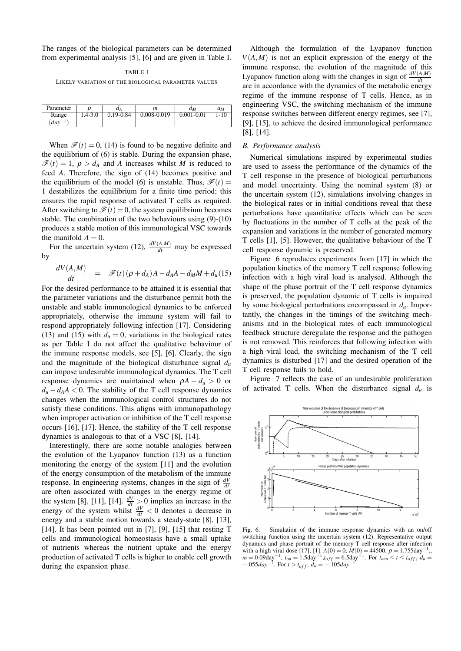The ranges of the biological parameters can be determined from experimental analysis [5], [6] and are given in Table I.

TABLE I LIKELY VARIATION OF THE BIOLOGICAL PARAMETER VALUES

Parameter  $\rho$  *d*<sub>A</sub> *m d*<sub>M</sub> *a*<sub>M</sub> Range 1.4-3.0 0.19-0.84 0.008-0.019 0.001-0.01 1-10 (*day*−<sup>1</sup> )

When  $\mathcal{F}(t) = 0$ , (14) is found to be negative definite and the equilibrium of (6) is stable. During the expansion phase,  $\mathcal{F}(t) = 1$ ,  $\rho > d_A$  and *A* increases whilst *M* is reduced to feed *A*. Therefore, the sign of (14) becomes positive and the equilibrium of the model (6) is unstable. Thus,  $\mathcal{F}(t) =$ 1 destabilizes the equilibrium for a finite time period; this ensures the rapid response of activated T cells as required. After switching to  $\mathcal{F}(t) = 0$ , the system equilibrium becomes stable. The combination of the two behaviours using (9)-(10) produces a stable motion of this immunological VSC towards the manifold  $A = 0$ .

For the uncertain system (12),  $\frac{dV(A,M)}{dt}$  may be expressed by

$$
\frac{dV(A,M)}{dt} = \mathscr{F}(t)(\rho + d_A)A - d_A A - d_M M + d_u(15)
$$

For the desired performance to be attained it is essential that the parameter variations and the disturbance permit both the unstable and stable immunological dynamics to be enforced appropriately, otherwise the immune system will fail to respond appropriately following infection [17]. Considering (13) and (15) with  $d<sub>u</sub> = 0$ , variations in the biological rates as per Table I do not affect the qualitative behaviour of the immune response models, see [5], [6]. Clearly, the sign and the magnitude of the biological disturbance signal  $d_u$ can impose undesirable immunological dynamics. The T cell response dynamics are maintained when  $\rho A - d_u > 0$  or  $d<sub>u</sub> - d<sub>A</sub>A < 0$ . The stability of the T cell response dynamics changes when the immunological control structures do not satisfy these conditions. This aligns with immunopathology when improper activation or inhibition of the T cell response occurs [16], [17]. Hence, the stability of the T cell response dynamics is analogous to that of a VSC [8], [14].

Interestingly, there are some notable analogies between the evolution of the Lyapanov function (13) as a function monitoring the energy of the system [11] and the evolution of the energy consumption of the metabolism of the immune response. In engineering systems, changes in the sign of  $\frac{dV}{dt}$ are often associated with changes in the energy regime of the system [8], [11], [14].  $\frac{dV}{dt} > 0$  implies an increase in the energy of the system whilst  $\frac{dV}{dt} < 0$  denotes a decrease in energy and a stable motion towards a steady-state [8], [13], [14]. It has been pointed out in [7], [9], [15] that resting  $T$ cells and immunological homeostasis have a small uptake of nutrients whereas the nutrient uptake and the energy production of activated T cells is higher to enable cell growth during the expansion phase.

Although the formulation of the Lyapanov function  $V(A,M)$  is not an explicit expression of the energy of the immune response, the evolution of the magnitude of this Lyapanov function along with the changes in sign of  $\frac{dV(A,M)}{dt}$ are in accordance with the dynamics of the metabolic energy regime of the immune response of T cells. Hence, as in engineering VSC, the switching mechanism of the immune response switches between different energy regimes, see [7], [9], [15], to achieve the desired immunological performance [8], [14].

#### *B. Performance analysis*

Numerical simulations inspired by experimental studies are used to assess the performance of the dynamics of the T cell response in the presence of biological perturbations and model uncertainty. Using the nominal system (8) or the uncertain system (12), simulations involving changes in the biological rates or in initial conditions reveal that these perturbations have quantitative effects which can be seen by fluctuations in the number of T cells at the peak of the expansion and variations in the number of generated memory T cells [1], [5]. However, the qualitative behaviour of the T cell response dynamic is preserved.

Figure 6 reproduces experiments from [17] in which the population kinetics of the memory T cell response following infection with a high viral load is analysed. Although the shape of the phase portrait of the T cell response dynamics is preserved, the population dynamic of T cells is impaired by some biological perturbations encompassed in *du*. Importantly, the changes in the timings of the switching mechanisms and in the biological rates of each immunological feedback structure deregulate the response and the pathogen is not removed. This reinforces that following infection with a high viral load, the switching mechanism of the T cell dynamics is disturbed [17] and the desired operation of the T cell response fails to hold.

Figure 7 reflects the case of an undesirable proliferation of activated T cells. When the disturbance signal *d<sup>u</sup>* is